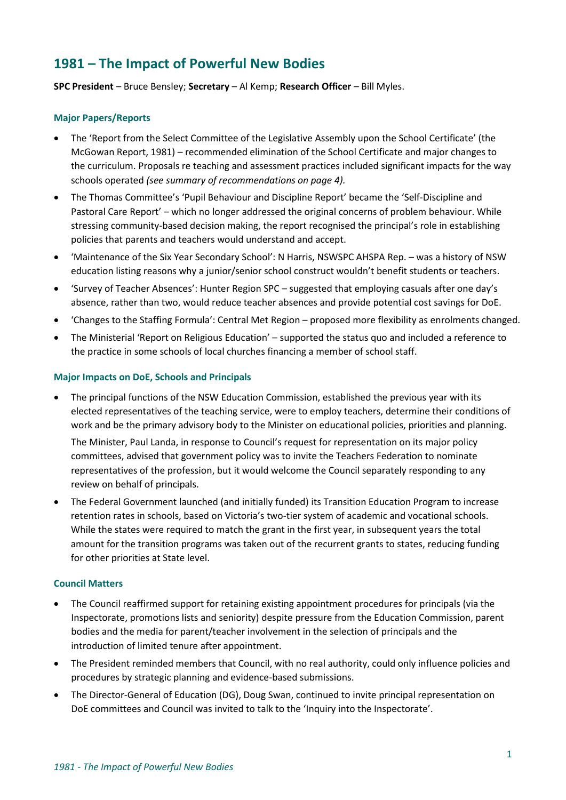# **1981 – The Impact of Powerful New Bodies**

**SPC President** – Bruce Bensley; **Secretary** – Al Kemp; **Research Officer** – Bill Myles.

#### **Major Papers/Reports**

- The 'Report from the Select Committee of the Legislative Assembly upon the School Certificate' (the McGowan Report, 1981) – recommended elimination of the School Certificate and major changes to the curriculum. Proposals re teaching and assessment practices included significant impacts for the way schools operated *(see summary of recommendations on page 4).*
- The Thomas Committee's 'Pupil Behaviour and Discipline Report' became the 'Self-Discipline and Pastoral Care Report' – which no longer addressed the original concerns of problem behaviour. While stressing community-based decision making, the report recognised the principal's role in establishing policies that parents and teachers would understand and accept.
- 'Maintenance of the Six Year Secondary School': N Harris, NSWSPC AHSPA Rep. was a history of NSW education listing reasons why a junior/senior school construct wouldn't benefit students or teachers.
- 'Survey of Teacher Absences': Hunter Region SPC suggested that employing casuals after one day's absence, rather than two, would reduce teacher absences and provide potential cost savings for DoE.
- 'Changes to the Staffing Formula': Central Met Region proposed more flexibility as enrolments changed.
- The Ministerial 'Report on Religious Education' supported the status quo and included a reference to the practice in some schools of local churches financing a member of school staff.

### **Major Impacts on DoE, Schools and Principals**

• The principal functions of the NSW Education Commission, established the previous year with its elected representatives of the teaching service, were to employ teachers, determine their conditions of work and be the primary advisory body to the Minister on educational policies, priorities and planning.

The Minister, Paul Landa, in response to Council's request for representation on its major policy committees, advised that government policy was to invite the Teachers Federation to nominate representatives of the profession, but it would welcome the Council separately responding to any review on behalf of principals.

• The Federal Government launched (and initially funded) its Transition Education Program to increase retention rates in schools, based on Victoria's two-tier system of academic and vocational schools. While the states were required to match the grant in the first year, in subsequent years the total amount for the transition programs was taken out of the recurrent grants to states, reducing funding for other priorities at State level.

### **Council Matters**

- The Council reaffirmed support for retaining existing appointment procedures for principals (via the Inspectorate, promotions lists and seniority) despite pressure from the Education Commission, parent bodies and the media for parent/teacher involvement in the selection of principals and the introduction of limited tenure after appointment.
- The President reminded members that Council, with no real authority, could only influence policies and procedures by strategic planning and evidence-based submissions.
- The Director-General of Education (DG), Doug Swan, continued to invite principal representation on DoE committees and Council was invited to talk to the 'Inquiry into the Inspectorate'.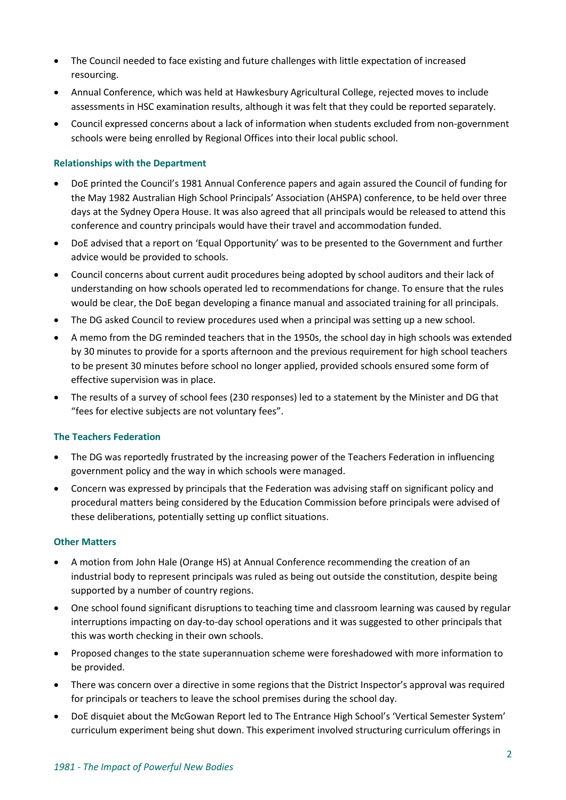- The Council needed to face existing and future challenges with little expectation of increased resourcing.
- Annual Conference, which was held at Hawkesbury Agricultural College, rejected moves to include assessments in HSC examination results, although it was felt that they could be reported separately.
- Council expressed concerns about a lack of information when students excluded from non-government schools were being enrolled by Regional Offices into their local public school.

## **Relationships with the Department**

- DoE printed the Council's 1981 Annual Conference papers and again assured the Council of funding for the May 1982 Australian High School Principals' Association (AHSPA) conference, to be held over three days at the Sydney Opera House. It was also agreed that all principals would be released to attend this conference and country principals would have their travel and accommodation funded.
- DoE advised that a report on 'Equal Opportunity' was to be presented to the Government and further advice would be provided to schools.
- Council concerns about current audit procedures being adopted by school auditors and their lack of understanding on how schools operated led to recommendations for change. To ensure that the rules would be clear, the DoE began developing a finance manual and associated training for all principals.
- The DG asked Council to review procedures used when a principal was setting up a new school.
- A memo from the DG reminded teachers that in the 1950s, the school day in high schools was extended by 30 minutes to provide for a sports afternoon and the previous requirement for high school teachers to be present 30 minutes before school no longer applied, provided schools ensured some form of effective supervision was in place.
- The results of a survey of school fees (230 responses) led to a statement by the Minister and DG that "fees for elective subjects are not voluntary fees".

### **The Teachers Federation**

- The DG was reportedly frustrated by the increasing power of the Teachers Federation in influencing government policy and the way in which schools were managed.
- Concern was expressed by principals that the Federation was advising staff on significant policy and procedural matters being considered by the Education Commission before principals were advised of these deliberations, potentially setting up conflict situations.

### **Other Matters**

- A motion from John Hale (Orange HS) at Annual Conference recommending the creation of an industrial body to represent principals was ruled as being out outside the constitution, despite being supported by a number of country regions.
- One school found significant disruptions to teaching time and classroom learning was caused by regular interruptions impacting on day-to-day school operations and it was suggested to other principals that this was worth checking in their own schools.
- Proposed changes to the state superannuation scheme were foreshadowed with more information to be provided.
- There was concern over a directive in some regions that the District Inspector's approval was required for principals or teachers to leave the school premises during the school day.
- DoE disquiet about the McGowan Report led to The Entrance High School's 'Vertical Semester System' curriculum experiment being shut down. This experiment involved structuring curriculum offerings in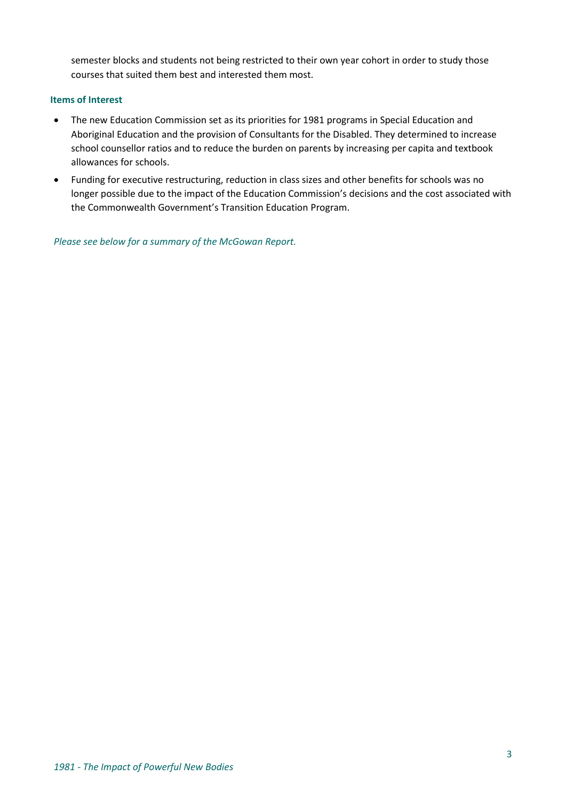semester blocks and students not being restricted to their own year cohort in order to study those courses that suited them best and interested them most.

## **Items of Interest**

- The new Education Commission set as its priorities for 1981 programs in Special Education and Aboriginal Education and the provision of Consultants for the Disabled. They determined to increase school counsellor ratios and to reduce the burden on parents by increasing per capita and textbook allowances for schools.
- Funding for executive restructuring, reduction in class sizes and other benefits for schools was no longer possible due to the impact of the Education Commission's decisions and the cost associated with the Commonwealth Government's Transition Education Program.

*Please see below for a summary of the McGowan Report.*